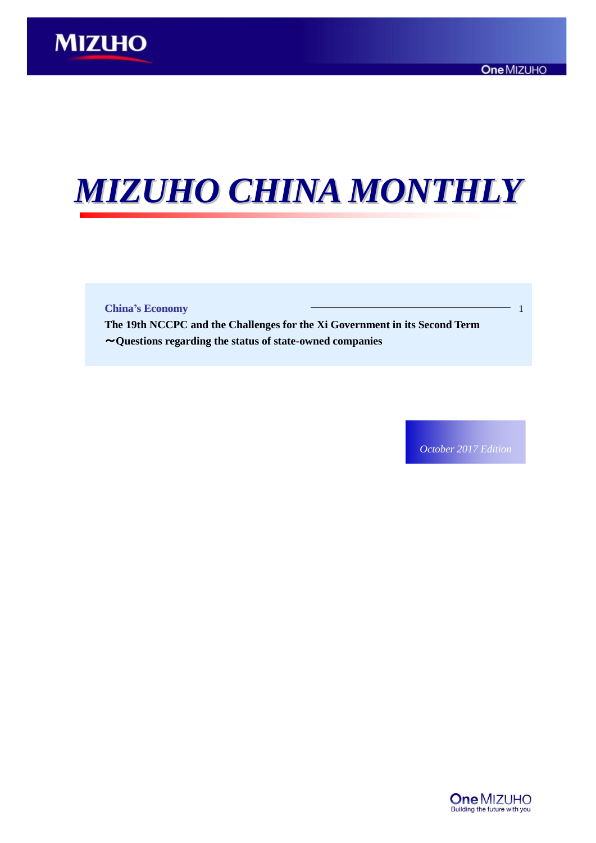# *MIZUHO CHINA MONTHLY*

**China's Economy** 1

**The 19th NCCPC and the Challenges for the Xi Government in its Second Term**  ~**Questions regarding the status of state-owned companies**

*October 2017 Edition*

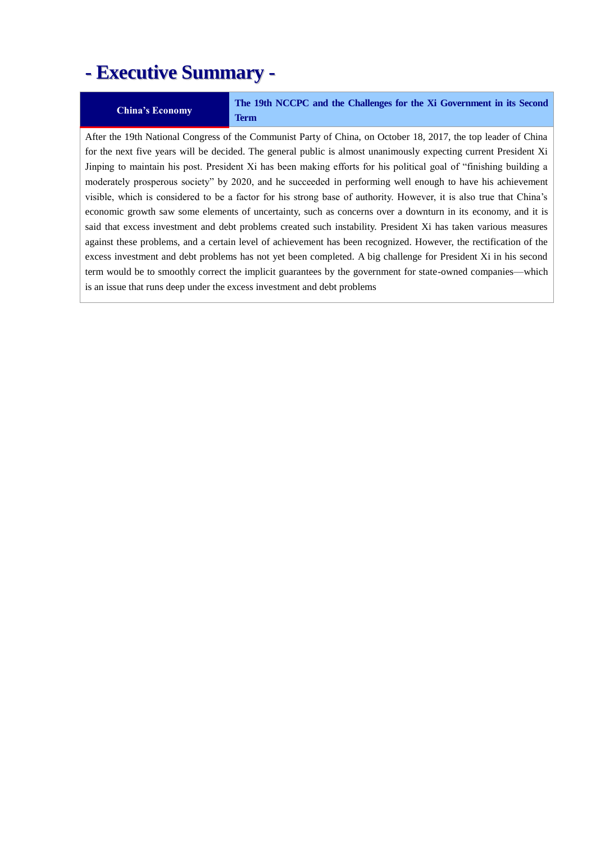# **- Executive Summary -**

**China's Economy The 19th NCCPC and the Challenges for the Xi Government in its Second Term**

After the 19th National Congress of the Communist Party of China, on October 18, 2017, the top leader of China for the next five years will be decided. The general public is almost unanimously expecting current President Xi Jinping to maintain his post. President Xi has been making efforts for his political goal of "finishing building a moderately prosperous society" by 2020, and he succeeded in performing well enough to have his achievement visible, which is considered to be a factor for his strong base of authority. However, it is also true that China's economic growth saw some elements of uncertainty, such as concerns over a downturn in its economy, and it is said that excess investment and debt problems created such instability. President Xi has taken various measures against these problems, and a certain level of achievement has been recognized. However, the rectification of the excess investment and debt problems has not yet been completed. A big challenge for President Xi in his second term would be to smoothly correct the implicit guarantees by the government for state-owned companies—which is an issue that runs deep under the excess investment and debt problems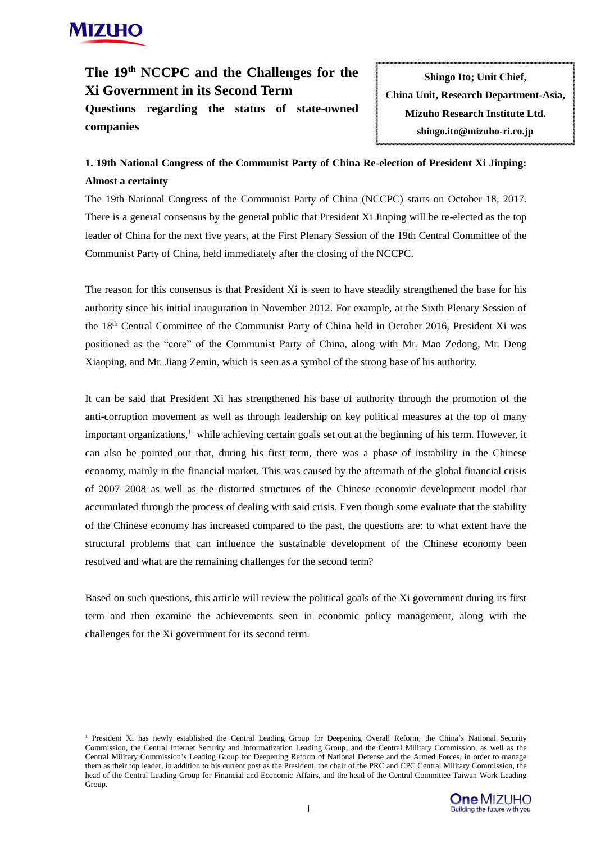# **MIZIHO**

**companies** 

-

# **The 19th NCCPC and the Challenges for the Xi Government in its Second Term Questions regarding the status of state-owned**

**Shingo Ito; Unit Chief, China Unit, Research Department-Asia, Mizuho Research Institute Ltd. shingo.ito@mizuho-ri.co.jp**

## **1. 19th National Congress of the Communist Party of China Re-election of President Xi Jinping: Almost a certainty**

The 19th National Congress of the Communist Party of China (NCCPC) starts on October 18, 2017. There is a general consensus by the general public that President Xi Jinping will be re-elected as the top leader of China for the next five years, at the First Plenary Session of the 19th Central Committee of the Communist Party of China, held immediately after the closing of the NCCPC.

The reason for this consensus is that President Xi is seen to have steadily strengthened the base for his authority since his initial inauguration in November 2012. For example, at the Sixth Plenary Session of the 18th Central Committee of the Communist Party of China held in October 2016, President Xi was positioned as the "core" of the Communist Party of China, along with Mr. Mao Zedong, Mr. Deng Xiaoping, and Mr. Jiang Zemin, which is seen as a symbol of the strong base of his authority.

It can be said that President Xi has strengthened his base of authority through the promotion of the anti-corruption movement as well as through leadership on key political measures at the top of many important organizations, $<sup>1</sup>$  while achieving certain goals set out at the beginning of his term. However, it</sup> can also be pointed out that, during his first term, there was a phase of instability in the Chinese economy, mainly in the financial market. This was caused by the aftermath of the global financial crisis of 2007–2008 as well as the distorted structures of the Chinese economic development model that accumulated through the process of dealing with said crisis. Even though some evaluate that the stability of the Chinese economy has increased compared to the past, the questions are: to what extent have the structural problems that can influence the sustainable development of the Chinese economy been resolved and what are the remaining challenges for the second term?

Based on such questions, this article will review the political goals of the Xi government during its first term and then examine the achievements seen in economic policy management, along with the challenges for the Xi government for its second term.

<sup>&</sup>lt;sup>1</sup> President Xi has newly established the Central Leading Group for Deepening Overall Reform, the China's National Security Commission, the Central Internet Security and Informatization Leading Group, and the Central Military Commission, as well as the Central Military Commission's Leading Group for Deepening Reform of National Defense and the Armed Forces, in order to manage them as their top leader, in addition to his current post as the President, the chair of the PRC and CPC Central Military Commission, the head of the Central Leading Group for Financial and Economic Affairs, and the head of the Central Committee Taiwan Work Leading Group.

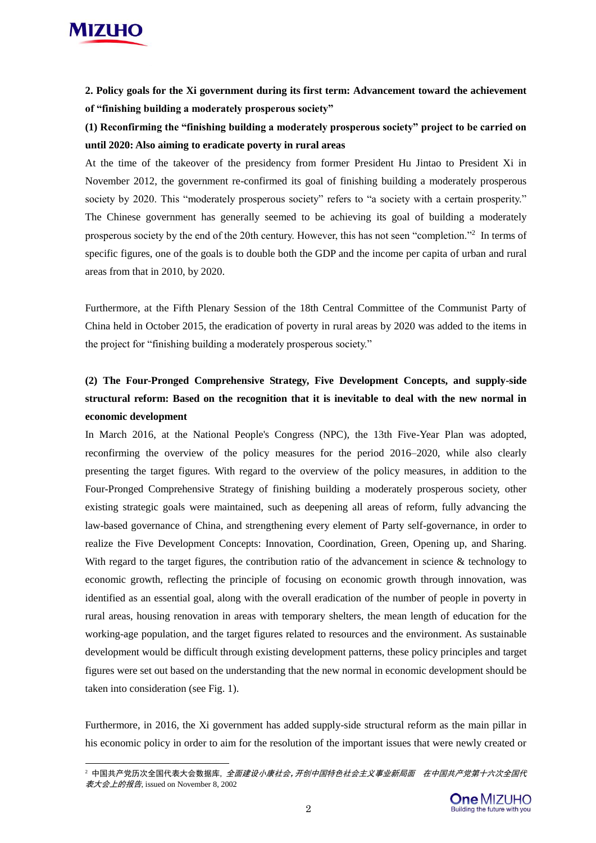

-

**2. Policy goals for the Xi government during its first term: Advancement toward the achievement of "finishing building a moderately prosperous society"**

**(1) Reconfirming the "finishing building a moderately prosperous society" project to be carried on until 2020: Also aiming to eradicate poverty in rural areas** 

At the time of the takeover of the presidency from former President Hu Jintao to President Xi in November 2012, the government re-confirmed its goal of finishing building a moderately prosperous society by 2020. This "moderately prosperous society" refers to "a society with a certain prosperity." The Chinese government has generally seemed to be achieving its goal of building a moderately prosperous society by the end of the 20th century. However, this has not seen "completion."<sup>2</sup> In terms of specific figures, one of the goals is to double both the GDP and the income per capita of urban and rural areas from that in 2010, by 2020.

Furthermore, at the Fifth Plenary Session of the 18th Central Committee of the Communist Party of China held in October 2015, the eradication of poverty in rural areas by 2020 was added to the items in the project for "finishing building a moderately prosperous society."

# **(2) The Four-Pronged Comprehensive Strategy, Five Development Concepts, and supply-side structural reform: Based on the recognition that it is inevitable to deal with the new normal in economic development**

In March 2016, at the National People's Congress (NPC), the 13th Five-Year Plan was adopted, reconfirming the overview of the policy measures for the period 2016–2020, while also clearly presenting the target figures. With regard to the overview of the policy measures, in addition to the Four-Pronged Comprehensive Strategy of finishing building a moderately prosperous society, other existing strategic goals were maintained, such as deepening all areas of reform, fully advancing the law-based governance of China, and strengthening every element of Party self-governance, in order to realize the Five Development Concepts: Innovation, Coordination, Green, Opening up, and Sharing. With regard to the target figures, the contribution ratio of the advancement in science  $\&$  technology to economic growth, reflecting the principle of focusing on economic growth through innovation, was identified as an essential goal, along with the overall eradication of the number of people in poverty in rural areas, housing renovation in areas with temporary shelters, the mean length of education for the working-age population, and the target figures related to resources and the environment. As sustainable development would be difficult through existing development patterns, these policy principles and target figures were set out based on the understanding that the new normal in economic development should be taken into consideration (see Fig. 1).

Furthermore, in 2016, the Xi government has added supply-side structural reform as the main pillar in his economic policy in order to aim for the resolution of the important issues that were newly created or

<sup>&</sup>lt;sup>2</sup>中国共产党历次全国代表大会数据库, *全面建设小康社会,开创中国特色社会主义事业新局面 在中国共产党第十六次全国代* 表大会上的报告, issued on November 8, 2002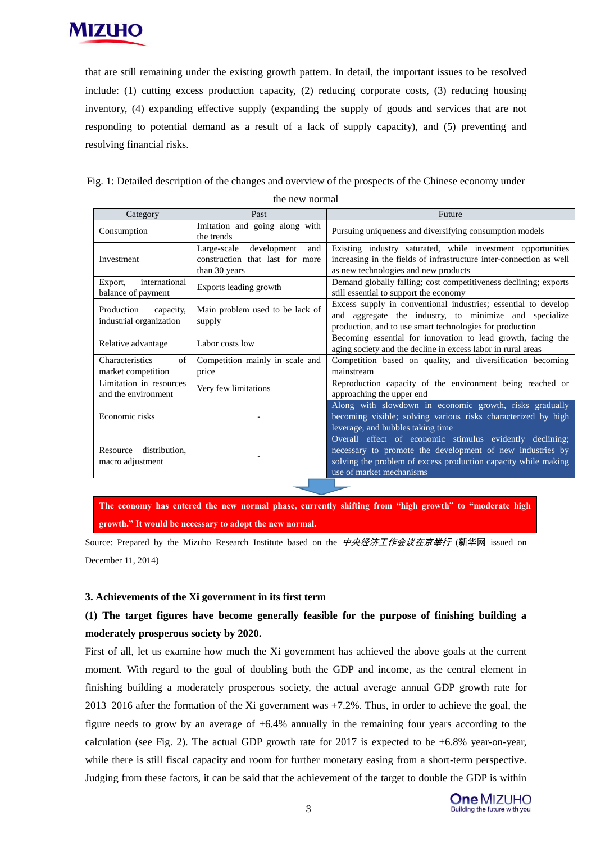

that are still remaining under the existing growth pattern. In detail, the important issues to be resolved include: (1) cutting excess production capacity, (2) reducing corporate costs, (3) reducing housing inventory, (4) expanding effective supply (expanding the supply of goods and services that are not responding to potential demand as a result of a lack of supply capacity), and (5) preventing and resolving financial risks.

Fig. 1: Detailed description of the changes and overview of the prospects of the Chinese economy under

| uit new normal                                     |                                                                                       |                                                                                                                                                                                                                     |  |
|----------------------------------------------------|---------------------------------------------------------------------------------------|---------------------------------------------------------------------------------------------------------------------------------------------------------------------------------------------------------------------|--|
| Category                                           | Past                                                                                  | Future                                                                                                                                                                                                              |  |
| Consumption                                        | Imitation and going along with<br>the trends                                          | Pursuing uniqueness and diversifying consumption models                                                                                                                                                             |  |
| Investment                                         | Large-scale<br>development<br>and<br>construction that last for more<br>than 30 years | Existing industry saturated, while investment opportunities<br>increasing in the fields of infrastructure inter-connection as well<br>as new technologies and new products                                          |  |
| international<br>Export,<br>balance of payment     | Exports leading growth                                                                | Demand globally falling; cost competitiveness declining; exports<br>still essential to support the economy                                                                                                          |  |
| Production<br>capacity,<br>industrial organization | Main problem used to be lack of<br>supply                                             | Excess supply in conventional industries; essential to develop<br>and aggregate the industry, to minimize and specialize<br>production, and to use smart technologies for production                                |  |
| Relative advantage                                 | Labor costs low                                                                       | Becoming essential for innovation to lead growth, facing the<br>aging society and the decline in excess labor in rural areas                                                                                        |  |
| Characteristics<br>of<br>market competition        | Competition mainly in scale and<br>price                                              | Competition based on quality, and diversification becoming<br>mainstream                                                                                                                                            |  |
| Limitation in resources<br>and the environment     | Very few limitations                                                                  | Reproduction capacity of the environment being reached or<br>approaching the upper end                                                                                                                              |  |
| Economic risks                                     |                                                                                       | Along with slowdown in economic growth, risks gradually<br>becoming visible; solving various risks characterized by high<br>leverage, and bubbles taking time                                                       |  |
| Resource distribution,<br>macro adjustment         |                                                                                       | Overall effect of economic stimulus evidently declining;<br>necessary to promote the development of new industries by<br>solving the problem of excess production capacity while making<br>use of market mechanisms |  |

the new normal

**The economy has entered the new normal phase, currently shifting from "high growth" to "moderate high growth." It would be necessary to adopt the new normal.** 

Source: Prepared by the Mizuho Research Institute based on the 中央经济工作会议在京举行 (新华网 issued on December 11, 2014)

#### **3. Achievements of the Xi government in its first term**

## **(1) The target figures have become generally feasible for the purpose of finishing building a moderately prosperous society by 2020.**

First of all, let us examine how much the Xi government has achieved the above goals at the current moment. With regard to the goal of doubling both the GDP and income, as the central element in finishing building a moderately prosperous society, the actual average annual GDP growth rate for 2013–2016 after the formation of the Xi government was +7.2%. Thus, in order to achieve the goal, the figure needs to grow by an average of  $+6.4\%$  annually in the remaining four years according to the calculation (see Fig. 2). The actual GDP growth rate for 2017 is expected to be  $+6.8\%$  year-on-year, while there is still fiscal capacity and room for further monetary easing from a short-term perspective. Judging from these factors, it can be said that the achievement of the target to double the GDP is within

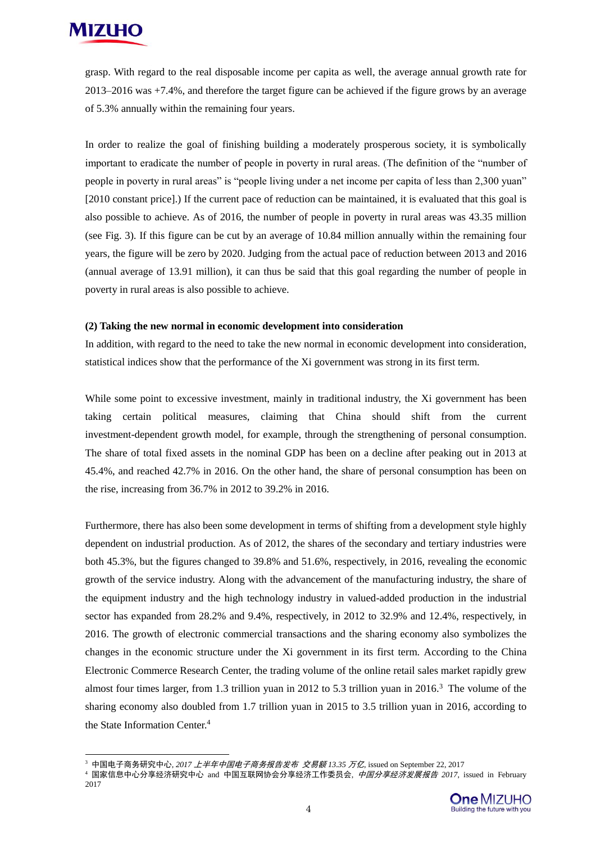

 $\overline{a}$ 

grasp. With regard to the real disposable income per capita as well, the average annual growth rate for 2013–2016 was +7.4%, and therefore the target figure can be achieved if the figure grows by an average of 5.3% annually within the remaining four years.

In order to realize the goal of finishing building a moderately prosperous society, it is symbolically important to eradicate the number of people in poverty in rural areas. (The definition of the "number of people in poverty in rural areas" is "people living under a net income per capita of less than 2,300 yuan" [2010 constant price].) If the current pace of reduction can be maintained, it is evaluated that this goal is also possible to achieve. As of 2016, the number of people in poverty in rural areas was 43.35 million (see Fig. 3). If this figure can be cut by an average of 10.84 million annually within the remaining four years, the figure will be zero by 2020. Judging from the actual pace of reduction between 2013 and 2016 (annual average of 13.91 million), it can thus be said that this goal regarding the number of people in poverty in rural areas is also possible to achieve.

#### **(2) Taking the new normal in economic development into consideration**

In addition, with regard to the need to take the new normal in economic development into consideration, statistical indices show that the performance of the Xi government was strong in its first term.

While some point to excessive investment, mainly in traditional industry, the Xi government has been taking certain political measures, claiming that China should shift from the current investment-dependent growth model, for example, through the strengthening of personal consumption. The share of total fixed assets in the nominal GDP has been on a decline after peaking out in 2013 at 45.4%, and reached 42.7% in 2016. On the other hand, the share of personal consumption has been on the rise, increasing from 36.7% in 2012 to 39.2% in 2016.

Furthermore, there has also been some development in terms of shifting from a development style highly dependent on industrial production. As of 2012, the shares of the secondary and tertiary industries were both 45.3%, but the figures changed to 39.8% and 51.6%, respectively, in 2016, revealing the economic growth of the service industry. Along with the advancement of the manufacturing industry, the share of the equipment industry and the high technology industry in valued-added production in the industrial sector has expanded from 28.2% and 9.4%, respectively, in 2012 to 32.9% and 12.4%, respectively, in 2016. The growth of electronic commercial transactions and the sharing economy also symbolizes the changes in the economic structure under the Xi government in its first term. According to the China Electronic Commerce Research Center, the trading volume of the online retail sales market rapidly grew almost four times larger, from 1.3 trillion yuan in 2012 to 5.3 trillion yuan in 2016.<sup>3</sup> The volume of the sharing economy also doubled from 1.7 trillion yuan in 2015 to 3.5 trillion yuan in 2016, according to the State Information Center.<sup>4</sup>

<sup>3</sup> 中国电子商务研究中心, *2017* 上半年中国电子商务报告发布 交易额 *13.35* 万亿, issued on September 22, 2017

<sup>4</sup> 国家信息中心分享经济研究中心 and 中国互联网协会分享经济工作委员会, 中国分享经济发展报告 *2017*, issued in February 2017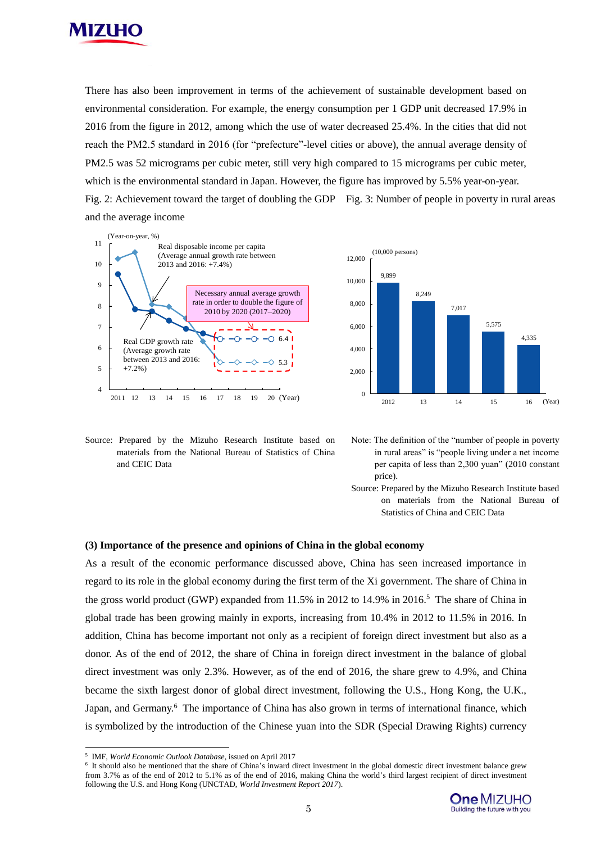

There has also been improvement in terms of the achievement of sustainable development based on environmental consideration. For example, the energy consumption per 1 GDP unit decreased 17.9% in 2016 from the figure in 2012, among which the use of water decreased 25.4%. In the cities that did not reach the PM2.5 standard in 2016 (for "prefecture"-level cities or above), the annual average density of PM2.5 was 52 micrograms per cubic meter, still very high compared to 15 micrograms per cubic meter, which is the environmental standard in Japan. However, the figure has improved by 5.5% year-on-year. Fig. 2: Achievement toward the target of doubling the GDP Fig. 3: Number of people in poverty in rural areas and the average income





Source: Prepared by the Mizuho Research Institute based on materials from the National Bureau of Statistics of China and CEIC Data

- Note: The definition of the "number of people in poverty in rural areas" is "people living under a net income per capita of less than 2,300 yuan" (2010 constant price).
- Source: Prepared by the Mizuho Research Institute based on materials from the National Bureau of Statistics of China and CEIC Data

#### **(3) Importance of the presence and opinions of China in the global economy**

As a result of the economic performance discussed above, China has seen increased importance in regard to its role in the global economy during the first term of the Xi government. The share of China in the gross world product (GWP) expanded from 11.5% in 2012 to 14.9% in 2016.<sup>5</sup> The share of China in global trade has been growing mainly in exports, increasing from 10.4% in 2012 to 11.5% in 2016. In addition, China has become important not only as a recipient of foreign direct investment but also as a donor. As of the end of 2012, the share of China in foreign direct investment in the balance of global direct investment was only 2.3%. However, as of the end of 2016, the share grew to 4.9%, and China became the sixth largest donor of global direct investment, following the U.S., Hong Kong, the U.K., Japan, and Germany.<sup>6</sup> The importance of China has also grown in terms of international finance, which is symbolized by the introduction of the Chinese yuan into the SDR (Special Drawing Rights) currency For an expected the presence and opinions of China in the global control of the metropological control of the metropological control of the expected by the Mizahlo Research Institute based on Note: The denotes the several

 $\overline{\phantom{a}}$ 

<sup>5</sup> IMF, *World Economic Outlook Database*, issued on April 2017

<sup>&</sup>lt;sup>6</sup> It should also be mentioned that the share of China's inward direct investment in the global domestic direct investment balance grew from 3.7% as of the end of 2012 to 5.1% as of the end of 2016, making China the world's third largest recipient of direct investment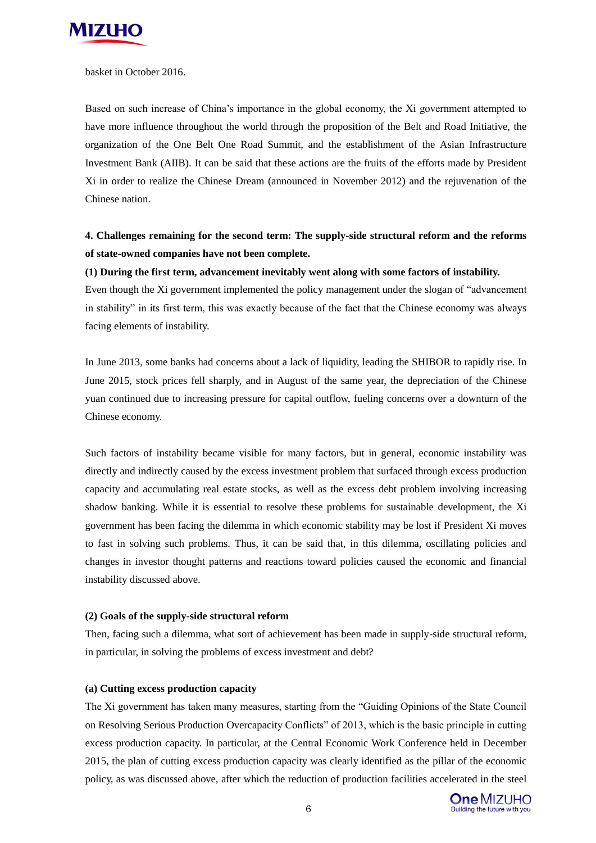

basket in October 2016.

Based on such increase of China's importance in the global economy, the Xi government attempted to have more influence throughout the world through the proposition of the Belt and Road Initiative, the organization of the One Belt One Road Summit, and the establishment of the Asian Infrastructure Investment Bank (AIIB). It can be said that these actions are the fruits of the efforts made by President Xi in order to realize the Chinese Dream (announced in November 2012) and the rejuvenation of the Chinese nation.

## **4. Challenges remaining for the second term: The supply-side structural reform and the reforms of state-owned companies have not been complete.**

#### **(1) During the first term, advancement inevitably went along with some factors of instability.**

Even though the Xi government implemented the policy management under the slogan of "advancement in stability" in its first term, this was exactly because of the fact that the Chinese economy was always facing elements of instability.

In June 2013, some banks had concerns about a lack of liquidity, leading the SHIBOR to rapidly rise. In June 2015, stock prices fell sharply, and in August of the same year, the depreciation of the Chinese yuan continued due to increasing pressure for capital outflow, fueling concerns over a downturn of the Chinese economy.

Such factors of instability became visible for many factors, but in general, economic instability was directly and indirectly caused by the excess investment problem that surfaced through excess production capacity and accumulating real estate stocks, as well as the excess debt problem involving increasing shadow banking. While it is essential to resolve these problems for sustainable development, the Xi government has been facing the dilemma in which economic stability may be lost if President Xi moves to fast in solving such problems. Thus, it can be said that, in this dilemma, oscillating policies and changes in investor thought patterns and reactions toward policies caused the economic and financial instability discussed above.

#### **(2) Goals of the supply-side structural reform**

Then, facing such a dilemma, what sort of achievement has been made in supply-side structural reform, in particular, in solving the problems of excess investment and debt?

#### **(a) Cutting excess production capacity**

The Xi government has taken many measures, starting from the "Guiding Opinions of the State Council on Resolving Serious Production Overcapacity Conflicts" of 2013, which is the basic principle in cutting excess production capacity. In particular, at the Central Economic Work Conference held in December 2015, the plan of cutting excess production capacity was clearly identified as the pillar of the economic policy, as was discussed above, after which the reduction of production facilities accelerated in the steel

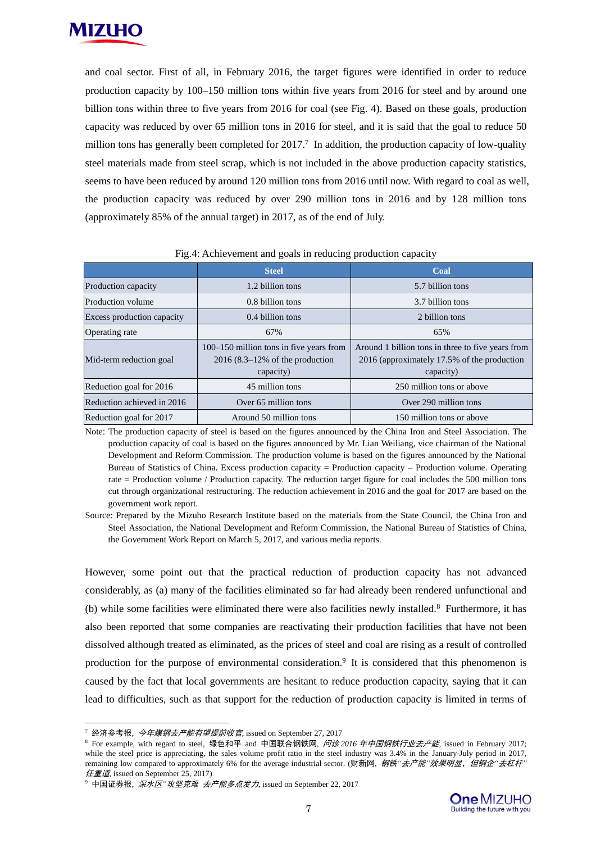

and coal sector. First of all, in February 2016, the target figures were identified in order to reduce production capacity by 100–150 million tons within five years from 2016 for steel and by around one billion tons within three to five years from 2016 for coal (see Fig. 4). Based on these goals, production capacity was reduced by over 65 million tons in 2016 for steel, and it is said that the goal to reduce 50 million tons has generally been completed for  $2017$ .<sup>7</sup> In addition, the production capacity of low-quality steel materials made from steel scrap, which is not included in the above production capacity statistics, seems to have been reduced by around 120 million tons from 2016 until now. With regard to coal as well, the production capacity was reduced by over 290 million tons in 2016 and by 128 million tons (approximately 85% of the annual target) in 2017, as of the end of July.

|                            | <b>Steel</b>                                                                                       | Coal                                                                                                          |
|----------------------------|----------------------------------------------------------------------------------------------------|---------------------------------------------------------------------------------------------------------------|
| Production capacity        | 1.2 billion tons                                                                                   | 5.7 billion tons                                                                                              |
| <b>Production volume</b>   | 0.8 billion tons                                                                                   | 3.7 billion tons                                                                                              |
| Excess production capacity | 0.4 billion tons                                                                                   | 2 billion tons                                                                                                |
| Operating rate             | 67%                                                                                                | 65%                                                                                                           |
| Mid-term reduction goal    | 100–150 million tons in five years from<br>$2016(8.3-12\% \text{ of the production})$<br>capacity) | Around 1 billion tons in three to five years from<br>2016 (approximately 17.5% of the production<br>capacity) |
| Reduction goal for 2016    | 45 million tons                                                                                    | 250 million tons or above                                                                                     |
| Reduction achieved in 2016 | Over 65 million tons                                                                               | Over 290 million tons                                                                                         |
| Reduction goal for 2017    | Around 50 million tons                                                                             | 150 million tons or above                                                                                     |

Fig.4: Achievement and goals in reducing production capacity

Note: The production capacity of steel is based on the figures announced by the China Iron and Steel Association. The production capacity of coal is based on the figures announced by Mr. Lian Weiliang, vice chairman of the National Development and Reform Commission. The production volume is based on the figures announced by the National Bureau of Statistics of China. Excess production capacity = Production capacity – Production volume. Operating rate = Production volume / Production capacity. The reduction target figure for coal includes the 500 million tons cut through organizational restructuring. The reduction achievement in 2016 and the goal for 2017 are based on the government work report.

Source: Prepared by the Mizuho Research Institute based on the materials from the State Council, the China Iron and Steel Association, the National Development and Reform Commission, the National Bureau of Statistics of China, the Government Work Report on March 5, 2017, and various media reports.

However, some point out that the practical reduction of production capacity has not advanced considerably, as (a) many of the facilities eliminated so far had already been rendered unfunctional and (b) while some facilities were eliminated there were also facilities newly installed.<sup>8</sup> Furthermore, it has also been reported that some companies are reactivating their production facilities that have not been dissolved although treated as eliminated, as the prices of steel and coal are rising as a result of controlled production for the purpose of environmental consideration.<sup>9</sup> It is considered that this phenomenon is caused by the fact that local governments are hesitant to reduce production capacity, saying that it can lead to difficulties, such as that support for the reduction of production capacity is limited in terms of

-

<sup>&</sup>lt;sup>7</sup> 经济参考报, 今年煤钢去产能有望提前收官, issued on September 27, 2017

<sup>8</sup> For example, with regard to steel, 绿色和平 and 中国联合钢铁网, 问诊 *2016* 年中国钢铁行业去产能*,* issued in February 2017; while the steel price is appreciating, the sales volume profit ratio in the steel industry was 3.4% in the January-July period in 2017, remaining low compared to approximately 6% for the average industrial sector. (财新网, 钢铁*"*去产能*"*效果明显,但钢企*"*去杠杆*"*  $E \equiv \vec{B}$ , issued on September 25, 2017)

<sup>9</sup> 中国证券报, 深水区*"*攻坚克难 去产能多点发力, issued on September 22, 2017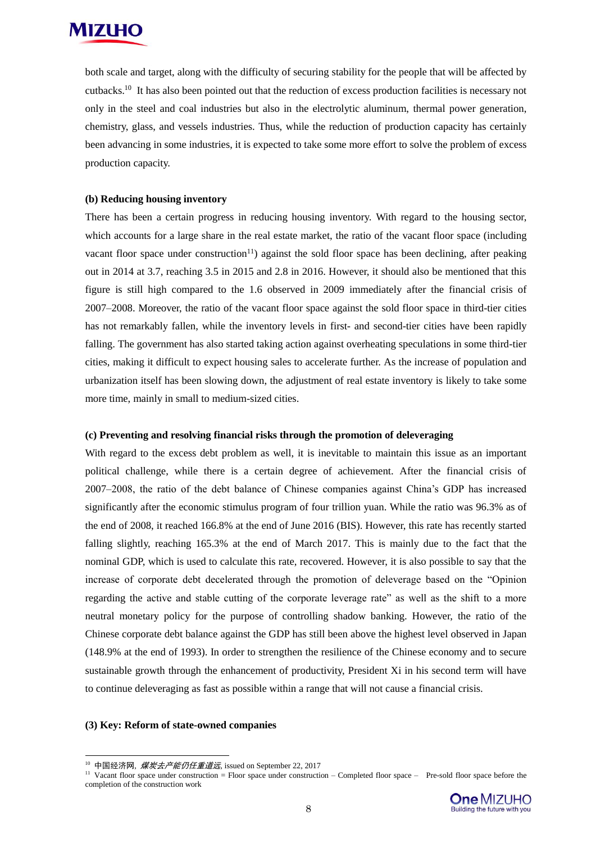

both scale and target, along with the difficulty of securing stability for the people that will be affected by cutbacks.<sup>10</sup> It has also been pointed out that the reduction of excess production facilities is necessary not only in the steel and coal industries but also in the electrolytic aluminum, thermal power generation, chemistry, glass, and vessels industries. Thus, while the reduction of production capacity has certainly been advancing in some industries, it is expected to take some more effort to solve the problem of excess production capacity.

#### **(b) Reducing housing inventory**

There has been a certain progress in reducing housing inventory. With regard to the housing sector, which accounts for a large share in the real estate market, the ratio of the vacant floor space (including vacant floor space under construction<sup>11</sup>) against the sold floor space has been declining, after peaking out in 2014 at 3.7, reaching 3.5 in 2015 and 2.8 in 2016. However, it should also be mentioned that this figure is still high compared to the 1.6 observed in 2009 immediately after the financial crisis of 2007–2008. Moreover, the ratio of the vacant floor space against the sold floor space in third-tier cities has not remarkably fallen, while the inventory levels in first- and second-tier cities have been rapidly falling. The government has also started taking action against overheating speculations in some third-tier cities, making it difficult to expect housing sales to accelerate further. As the increase of population and urbanization itself has been slowing down, the adjustment of real estate inventory is likely to take some more time, mainly in small to medium-sized cities.

#### **(c) Preventing and resolving financial risks through the promotion of deleveraging**

With regard to the excess debt problem as well, it is inevitable to maintain this issue as an important political challenge, while there is a certain degree of achievement. After the financial crisis of 2007–2008, the ratio of the debt balance of Chinese companies against China's GDP has increased significantly after the economic stimulus program of four trillion yuan. While the ratio was 96.3% as of the end of 2008, it reached 166.8% at the end of June 2016 (BIS). However, this rate has recently started falling slightly, reaching 165.3% at the end of March 2017. This is mainly due to the fact that the nominal GDP, which is used to calculate this rate, recovered. However, it is also possible to say that the increase of corporate debt decelerated through the promotion of deleverage based on the "Opinion regarding the active and stable cutting of the corporate leverage rate" as well as the shift to a more neutral monetary policy for the purpose of controlling shadow banking. However, the ratio of the Chinese corporate debt balance against the GDP has still been above the highest level observed in Japan (148.9% at the end of 1993). In order to strengthen the resilience of the Chinese economy and to secure sustainable growth through the enhancement of productivity, President Xi in his second term will have to continue deleveraging as fast as possible within a range that will not cause a financial crisis.

#### **(3) Key: Reform of state-owned companies**

-

<sup>&</sup>lt;sup>11</sup> Vacant floor space under construction = Floor space under construction – Completed floor space – Pre-sold floor space before the completion of the construction work



<sup>&</sup>lt;sup>10</sup> 中国经济网, *煤炭去产能仍任重道远*, issued on September 22, 2017